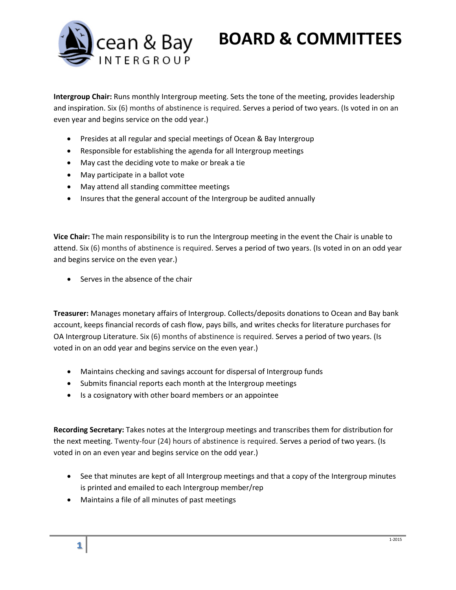

## **BOARD & COMMITTEES**

**Intergroup Chair:** Runs monthly Intergroup meeting. Sets the tone of the meeting, provides leadership and inspiration. Six (6) months of abstinence is required. Serves a period of two years. (Is voted in on an even year and begins service on the odd year.)

- Presides at all regular and special meetings of Ocean & Bay Intergroup
- Responsible for establishing the agenda for all Intergroup meetings
- May cast the deciding vote to make or break a tie
- May participate in a ballot vote
- May attend all standing committee meetings
- Insures that the general account of the Intergroup be audited annually

**Vice Chair:** The main responsibility is to run the Intergroup meeting in the event the Chair is unable to attend. Six (6) months of abstinence is required. Serves a period of two years. (Is voted in on an odd year and begins service on the even year.)

• Serves in the absence of the chair

**Treasurer:** Manages monetary affairs of Intergroup. Collects/deposits donations to Ocean and Bay bank account, keeps financial records of cash flow, pays bills, and writes checks for literature purchases for OA Intergroup Literature. Six (6) months of abstinence is required. Serves a period of two years. (Is voted in on an odd year and begins service on the even year.)

- Maintains checking and savings account for dispersal of Intergroup funds
- Submits financial reports each month at the Intergroup meetings
- Is a cosignatory with other board members or an appointee

**Recording Secretary:** Takes notes at the Intergroup meetings and transcribes them for distribution for the next meeting. Twenty-four (24) hours of abstinence is required. Serves a period of two years. (Is voted in on an even year and begins service on the odd year.)

- See that minutes are kept of all Intergroup meetings and that a copy of the Intergroup minutes is printed and emailed to each Intergroup member/rep
- Maintains a file of all minutes of past meetings